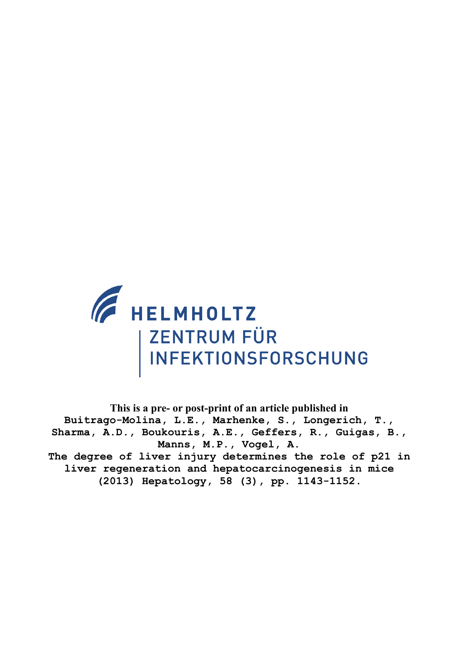

**This is a pre- or post-print of an article published in Buitrago-Molina, L.E., Marhenke, S., Longerich, T., Sharma, A.D., Boukouris, A.E., Geffers, R., Guigas, B., Manns, M.P., Vogel, A. The degree of liver injury determines the role of p21 in liver regeneration and hepatocarcinogenesis in mice (2013) Hepatology, 58 (3), pp. 1143-1152.**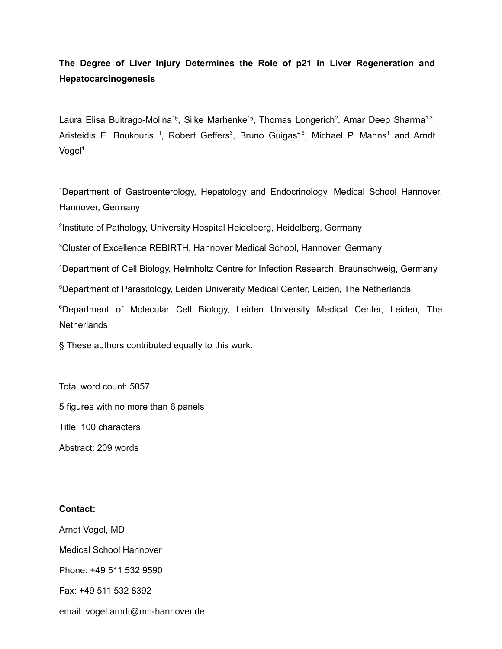# **The Degree of Liver Injury Determines the Role of p21 in Liver Regeneration and Hepatocarcinogenesis**

Laura Elisa Buitrago-Molina<sup>1§</sup>, Silke Marhenke<sup>1§</sup>, Thomas Longerich<sup>2</sup>, Amar Deep Sharma<sup>1,3</sup>, Aristeidis E. Boukouris<sup>1</sup>, Robert Geffers<sup>3</sup>, Bruno Guigas<sup>4,5</sup>, Michael P. Manns<sup>1</sup> and Arndt Vogel<sup>1</sup>

<sup>1</sup>Department of Gastroenterology, Hepatology and Endocrinology, Medical School Hannover, Hannover, Germany

<sup>2</sup>Institute of Pathology, University Hospital Heidelberg, Heidelberg, Germany

<sup>3</sup>Cluster of Excellence REBIRTH, Hannover Medical School, Hannover, Germany

<sup>4</sup>Department of Cell Biology, Helmholtz Centre for Infection Research, Braunschweig, Germany

<sup>5</sup>Department of Parasitology, Leiden University Medical Center, Leiden, The Netherlands

<sup>6</sup>Department of Molecular Cell Biology, Leiden University Medical Center, Leiden, The **Netherlands** 

§ These authors contributed equally to this work.

Total word count: 5057

5 figures with no more than 6 panels

Title: 100 characters

Abstract: 209 words

## **Contact:**

Arndt Vogel, MD Medical School Hannover Phone: +49 511 532 9590 Fax: +49 511 532 8392

## email: [vogel.arndt@mh-hannover.de](mailto:vogel.arndt@mh-hannover.de)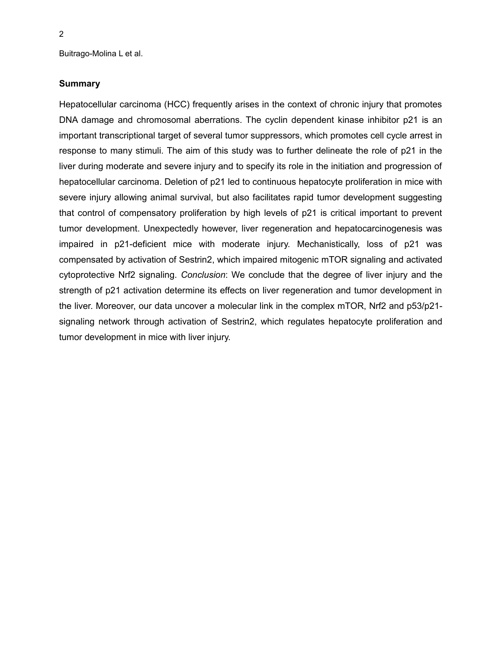## **Summary**

Hepatocellular carcinoma (HCC) frequently arises in the context of chronic injury that promotes DNA damage and chromosomal aberrations. The cyclin dependent kinase inhibitor p21 is an important transcriptional target of several tumor suppressors, which promotes cell cycle arrest in response to many stimuli. The aim of this study was to further delineate the role of p21 in the liver during moderate and severe injury and to specify its role in the initiation and progression of hepatocellular carcinoma. Deletion of p21 led to continuous hepatocyte proliferation in mice with severe injury allowing animal survival, but also facilitates rapid tumor development suggesting that control of compensatory proliferation by high levels of p21 is critical important to prevent tumor development. Unexpectedly however, liver regeneration and hepatocarcinogenesis was impaired in p21-deficient mice with moderate injury. Mechanistically, loss of p21 was compensated by activation of Sestrin2, which impaired mitogenic mTOR signaling and activated cytoprotective Nrf2 signaling. *Conclusion*: We conclude that the degree of liver injury and the strength of p21 activation determine its effects on liver regeneration and tumor development in the liver. Moreover, our data uncover a molecular link in the complex mTOR, Nrf2 and p53/p21 signaling network through activation of Sestrin2, which regulates hepatocyte proliferation and tumor development in mice with liver injury.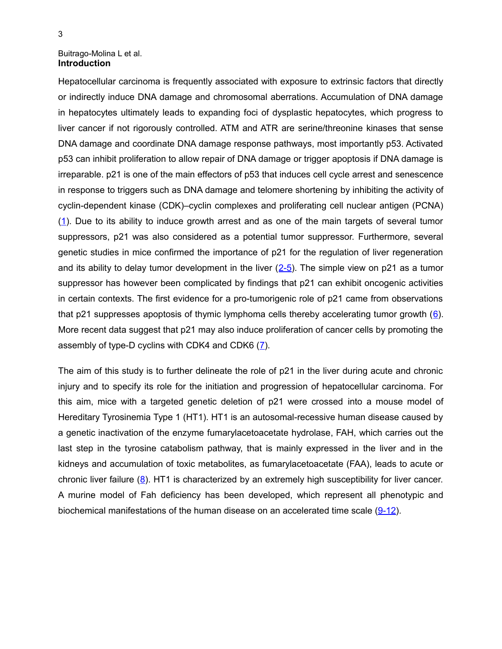#### Buitrago-Molina L et al. **Introduction**

Hepatocellular carcinoma is frequently associated with exposure to extrinsic factors that directly or indirectly induce DNA damage and chromosomal aberrations. Accumulation of DNA damage in hepatocytes ultimately leads to expanding foci of dysplastic hepatocytes, which progress to liver cancer if not rigorously controlled. ATM and ATR are serine/threonine kinases that sense DNA damage and coordinate DNA damage response pathways, most importantly p53. Activated p53 can inhibit proliferation to allow repair of DNA damage or trigger apoptosis if DNA damage is irreparable. p21 is one of the main effectors of p53 that induces cell cycle arrest and senescence in response to triggers such as DNA damage and telomere shortening by inhibiting the activity of cyclin-dependent kinase (CDK)–cyclin complexes and proliferating cell nuclear antigen (PCNA) [\(1\)](#page-13-5). Due to its ability to induce growth arrest and as one of the main targets of several tumor suppressors, p21 was also considered as a potential tumor suppressor. Furthermore, several genetic studies in mice confirmed the importance of p21 for the regulation of liver regeneration and its ability to delay tumor development in the liver  $(2-5)$ . The simple view on p21 as a tumor suppressor has however been complicated by findings that p21 can exhibit oncogenic activities in certain contexts. The first evidence for a pro-tumorigenic role of p21 came from observations that p21 suppresses apoptosis of thymic lymphoma cells thereby accelerating tumor growth  $(6)$  $(6)$ . More recent data suggest that p21 may also induce proliferation of cancer cells by promoting the assembly of type-D cyclins with CDK4 and CDK6 [\(7\)](#page-13-2).

The aim of this study is to further delineate the role of p21 in the liver during acute and chronic injury and to specify its role for the initiation and progression of hepatocellular carcinoma. For this aim, mice with a targeted genetic deletion of p21 were crossed into a mouse model of Hereditary Tyrosinemia Type 1 (HT1). HT1 is an autosomal-recessive human disease caused by a genetic inactivation of the enzyme fumarylacetoacetate hydrolase, FAH, which carries out the last step in the tyrosine catabolism pathway, that is mainly expressed in the liver and in the kidneys and accumulation of toxic metabolites, as fumarylacetoacetate (FAA), leads to acute or chronic liver failure  $(8)$ . HT1 is characterized by an extremely high susceptibility for liver cancer. A murine model of Fah deficiency has been developed, which represent all phenotypic and biochemical manifestations of the human disease on an accelerated time scale [\(9-12\)](#page-13-0).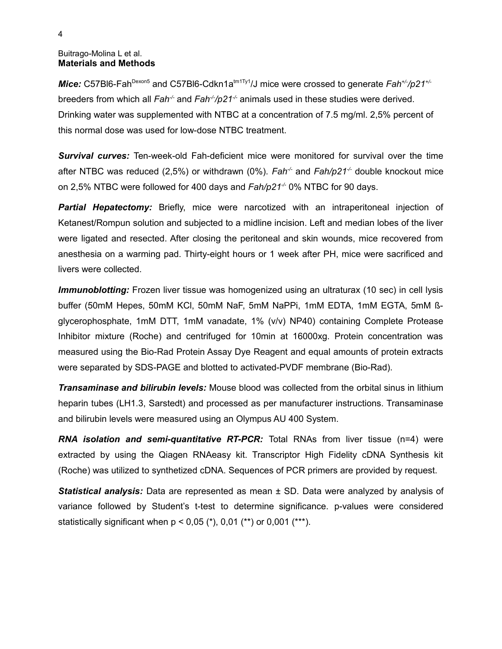### Buitrago-Molina L et al. **Materials and Methods**

*Mice:* C57Bl6-Fah<sup>Dexon5</sup> and C57Bl6-Cdkn1a<sup>tm1Ty1</sup>/J mice were crossed to generate *Fah<sup>+/-</sup>*/p21<sup>+/-</sup> breeders from which all *Fah<sup>-/-</sup>* and *Fah<sup>-/</sup>/p21<sup>-/-</sup>* animals used in these studies were derived. Drinking water was supplemented with NTBC at a concentration of 7.5 mg/ml. 2,5% percent of this normal dose was used for low-dose NTBC treatment.

*Survival curves:* Ten-week-old Fah-deficient mice were monitored for survival over the time after NTBC was reduced (2,5%) or withdrawn (0%). *Fah<sup>-/-</sup>* and *Fah/p21<sup>-/</sup>-* double knockout mice on 2,5% NTBC were followed for 400 days and *Fah/p21-/-* 0% NTBC for 90 days.

**Partial Hepatectomy:** Briefly, mice were narcotized with an intraperitoneal injection of Ketanest/Rompun solution and subjected to a midline incision. Left and median lobes of the liver were ligated and resected. After closing the peritoneal and skin wounds, mice recovered from anesthesia on a warming pad. Thirty-eight hours or 1 week after PH, mice were sacrificed and livers were collected.

*Immunoblotting:* Frozen liver tissue was homogenized using an ultraturax (10 sec) in cell lysis buffer (50mM Hepes, 50mM KCl, 50mM NaF, 5mM NaPPi, 1mM EDTA, 1mM EGTA, 5mM ßglycerophosphate, 1mM DTT, 1mM vanadate, 1% (v/v) NP40) containing Complete Protease Inhibitor mixture (Roche) and centrifuged for 10min at 16000xg. Protein concentration was measured using the Bio-Rad Protein Assay Dye Reagent and equal amounts of protein extracts were separated by SDS-PAGE and blotted to activated-PVDF membrane (Bio-Rad).

*Transaminase and bilirubin levels:* Mouse blood was collected from the orbital sinus in lithium heparin tubes (LH1.3, Sarstedt) and processed as per manufacturer instructions. Transaminase and bilirubin levels were measured using an Olympus AU 400 System.

*RNA isolation and semi-quantitative RT-PCR:* Total RNAs from liver tissue (n=4) were extracted by using the Qiagen RNAeasy kit. Transcriptor High Fidelity cDNA Synthesis kit (Roche) was utilized to synthetized cDNA. Sequences of PCR primers are provided by request.

*Statistical analysis:* Data are represented as mean ± SD. Data were analyzed by analysis of variance followed by Student's t-test to determine significance. p-values were considered statistically significant when  $p < 0.05$  (\*), 0.01 (\*\*) or 0.001 (\*\*\*).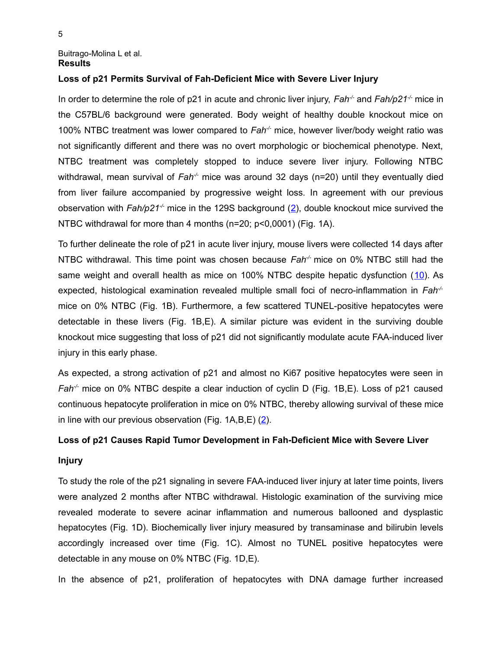#### Buitrago-Molina L et al. **Results**

## **Loss of p21 Permits Survival of Fah-Deficient Mice with Severe Liver Injury**

In order to determine the role of p21 in acute and chronic liver injury, *Fah<sup>-/-</sup>* and *Fah/p21<sup>-/-</sup>* mice in the C57BL/6 background were generated. Body weight of healthy double knockout mice on 100% NTBC treatment was lower compared to *Fah-/-* mice, however liver/body weight ratio was not significantly different and there was no overt morphologic or biochemical phenotype. Next, NTBC treatment was completely stopped to induce severe liver injury. Following NTBC withdrawal, mean survival of *Fah<sup>-/-</sup>* mice was around 32 days (n=20) until they eventually died from liver failure accompanied by progressive weight loss. In agreement with our previous observation with *Fah/p21-/-* mice in the 129S background [\(2\)](#page-13-4), double knockout mice survived the NTBC withdrawal for more than 4 months (n=20; p<0,0001) (Fig. 1A).

To further delineate the role of p21 in acute liver injury, mouse livers were collected 14 days after NTBC withdrawal. This time point was chosen because *Fah-/-* mice on 0% NTBC still had the same weight and overall health as mice on 100% NTBC despite hepatic dysfunction ([10\)](#page-13-6). As expected, histological examination revealed multiple small foci of necro-inflammation in *Fah-/* mice on 0% NTBC (Fig. 1B). Furthermore, a few scattered TUNEL-positive hepatocytes were detectable in these livers (Fig. 1B,E). A similar picture was evident in the surviving double knockout mice suggesting that loss of p21 did not significantly modulate acute FAA-induced liver injury in this early phase.

As expected, a strong activation of p21 and almost no Ki67 positive hepatocytes were seen in *Fah<sup>-/-</sup>* mice on 0% NTBC despite a clear induction of cyclin D (Fig. 1B, E). Loss of p21 caused continuous hepatocyte proliferation in mice on 0% NTBC, thereby allowing survival of these mice in line with our previous observation (Fig. 1A,B,E) [\(2\)](#page-13-4).

## **Loss of p21 Causes Rapid Tumor Development in Fah-Deficient Mice with Severe Liver**

## **Injury**

To study the role of the p21 signaling in severe FAA-induced liver injury at later time points, livers were analyzed 2 months after NTBC withdrawal. Histologic examination of the surviving mice revealed moderate to severe acinar inflammation and numerous ballooned and dysplastic hepatocytes (Fig. 1D). Biochemically liver injury measured by transaminase and bilirubin levels accordingly increased over time (Fig. 1C). Almost no TUNEL positive hepatocytes were detectable in any mouse on 0% NTBC (Fig. 1D,E).

In the absence of p21, proliferation of hepatocytes with DNA damage further increased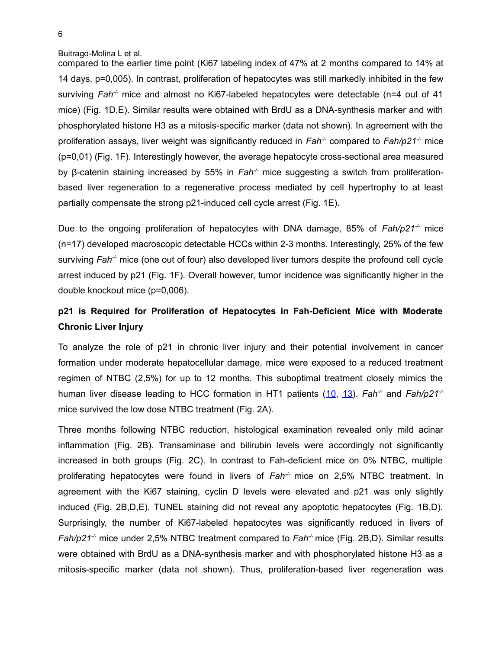compared to the earlier time point (Ki67 labeling index of 47% at 2 months compared to 14% at 14 days, p=0,005). In contrast, proliferation of hepatocytes was still markedly inhibited in the few surviving *Fah<sup>-/-</sup>* mice and almost no Ki67-labeled hepatocytes were detectable (n=4 out of 41 mice) (Fig. 1D,E). Similar results were obtained with BrdU as a DNA-synthesis marker and with phosphorylated histone H3 as a mitosis-specific marker (data not shown). In agreement with the proliferation assays, liver weight was significantly reduced in *Fah-/-* compared to *Fah/p21-/-* mice (p=0,01) (Fig. 1F). Interestingly however, the average hepatocyte cross-sectional area measured by β-catenin staining increased by 55% in *Fah-/-* mice suggesting a switch from proliferationbased liver regeneration to a regenerative process mediated by cell hypertrophy to at least partially compensate the strong p21-induced cell cycle arrest (Fig. 1E).

Due to the ongoing proliferation of hepatocytes with DNA damage, 85% of *Fah/p21-/-* mice (n=17) developed macroscopic detectable HCCs within 2-3 months. Interestingly, 25% of the few surviving *Fah-/-* mice (one out of four) also developed liver tumors despite the profound cell cycle arrest induced by p21 (Fig. 1F). Overall however, tumor incidence was significantly higher in the double knockout mice (p=0,006).

# **p21 is Required for Proliferation of Hepatocytes in Fah-Deficient Mice with Moderate Chronic Liver Injury**

To analyze the role of p21 in chronic liver injury and their potential involvement in cancer formation under moderate hepatocellular damage, mice were exposed to a reduced treatment regimen of NTBC (2,5%) for up to 12 months. This suboptimal treatment closely mimics the human liver disease leading to HCC formation in HT1 patients [\(10,](#page-13-6) [13\)](#page-14-0). *Fah<sup>-/-</sup>* and *Fah/p21<sup>-/-</sup>* mice survived the low dose NTBC treatment (Fig. 2A).

Three months following NTBC reduction, histological examination revealed only mild acinar inflammation (Fig. 2B). Transaminase and bilirubin levels were accordingly not significantly increased in both groups (Fig. 2C). In contrast to Fah-deficient mice on 0% NTBC, multiple proliferating hepatocytes were found in livers of *Fah<sup>-/-</sup>* mice on 2,5% NTBC treatment. In agreement with the Ki67 staining, cyclin D levels were elevated and p21 was only slightly induced (Fig. 2B,D,E). TUNEL staining did not reveal any apoptotic hepatocytes (Fig. 1B,D). Surprisingly, the number of Ki67-labeled hepatocytes was significantly reduced in livers of *Fah/p21<sup>-/-</sup>* mice under 2,5% NTBC treatment compared to *Fah<sup>-/-</sup>* mice (Fig. 2B,D). Similar results were obtained with BrdU as a DNA-synthesis marker and with phosphorylated histone H3 as a mitosis-specific marker (data not shown). Thus, proliferation-based liver regeneration was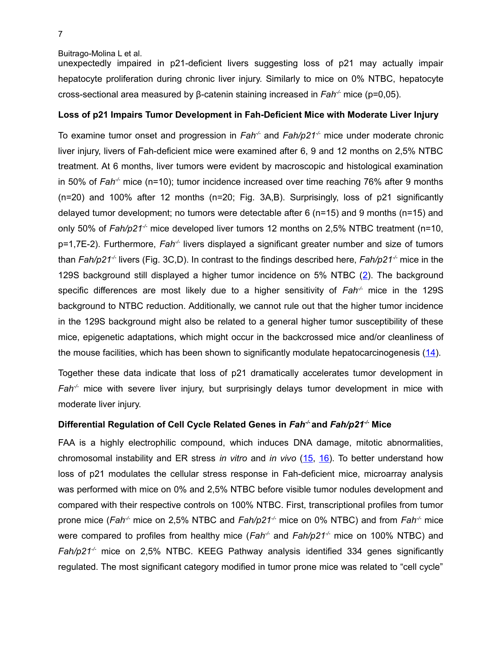unexpectedly impaired in p21-deficient livers suggesting loss of p21 may actually impair hepatocyte proliferation during chronic liver injury. Similarly to mice on 0% NTBC, hepatocyte cross-sectional area measured by β-catenin staining increased in *Fah-/-* mice (p=0,05).

### **Loss of p21 Impairs Tumor Development in Fah-Deficient Mice with Moderate Liver Injury**

To examine tumor onset and progression in *Fah<sup>-/-</sup>* and *Fah/p21<sup>-/-</sup>* mice under moderate chronic liver injury, livers of Fah-deficient mice were examined after 6, 9 and 12 months on 2,5% NTBC treatment. At 6 months, liver tumors were evident by macroscopic and histological examination in 50% of *Fah-/-* mice (n=10); tumor incidence increased over time reaching 76% after 9 months (n=20) and 100% after 12 months (n=20; Fig. 3A,B). Surprisingly, loss of p21 significantly delayed tumor development; no tumors were detectable after 6 (n=15) and 9 months (n=15) and only 50% of *Fah/p21<sup>-/-</sup>* mice developed liver tumors 12 months on 2,5% NTBC treatment (n=10, p=1,7E-2). Furthermore, *Fah-/-* livers displayed a significant greater number and size of tumors than *Fah/p21<sup>-/-</sup>* livers (Fig. 3C,D). In contrast to the findings described here, *Fah/p21<sup>-/-</sup>* mice in the 129S background still displayed a higher tumor incidence on 5% NTBC [\(2\)](#page-13-4). The background specific differences are most likely due to a higher sensitivity of  $Fah^2$  mice in the 129S background to NTBC reduction. Additionally, we cannot rule out that the higher tumor incidence in the 129S background might also be related to a general higher tumor susceptibility of these mice, epigenetic adaptations, which might occur in the backcrossed mice and/or cleanliness of the mouse facilities, which has been shown to significantly modulate hepatocarcinogenesis [\(14\)](#page-14-3).

Together these data indicate that loss of p21 dramatically accelerates tumor development in *Fah<sup>-/-</sup>* mice with severe liver injury, but surprisingly delays tumor development in mice with moderate liver injury.

## **Differential Regulation of Cell Cycle Related Genes in** *Fah-/-* **and** *Fah/p21-/-* **Mice**

FAA is a highly electrophilic compound, which induces DNA damage, mitotic abnormalities, chromosomal instability and ER stress *in vitro* and *in vivo* [\(15,](#page-14-2) [16\)](#page-14-1). To better understand how loss of p21 modulates the cellular stress response in Fah-deficient mice, microarray analysis was performed with mice on 0% and 2,5% NTBC before visible tumor nodules development and compared with their respective controls on 100% NTBC. First, transcriptional profiles from tumor prone mice (*Fah-/-* mice on 2,5% NTBC and *Fah/p21-/-* mice on 0% NTBC) and from *Fah-/-* mice were compared to profiles from healthy mice (*Fah<sup>-/-</sup>* and *Fah/p21<sup>-/-</sup>* mice on 100% NTBC) and *Fah/p21-/-* mice on 2,5% NTBC. KEEG Pathway analysis identified 334 genes significantly regulated. The most significant category modified in tumor prone mice was related to "cell cycle"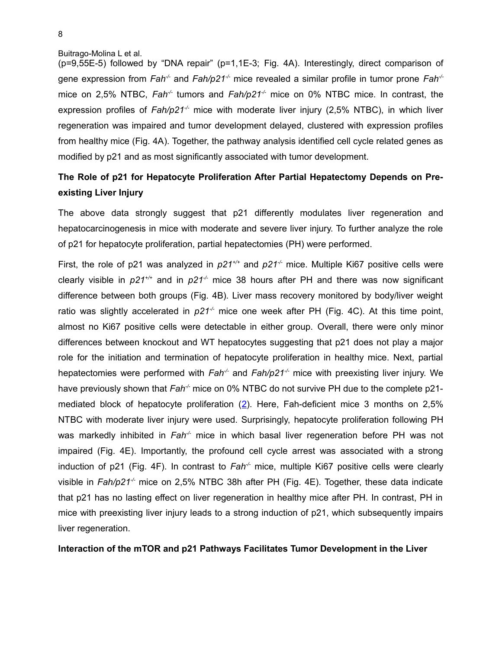(p=9,55E-5) followed by "DNA repair" (p=1,1E-3; Fig. 4A). Interestingly, direct comparison of gene expression from *Fah-/-* and *Fah/p21-/-* mice revealed a similar profile in tumor prone *Fah-/* mice on 2,5% NTBC, *Fah<sup>-/-</sup>* tumors and *Fah/p21<sup>-/-</sup>* mice on 0% NTBC mice. In contrast, the expression profiles of  $Fah/p21<sup>-/-</sup>$  mice with moderate liver injury (2,5% NTBC), in which liver regeneration was impaired and tumor development delayed, clustered with expression profiles from healthy mice (Fig. 4A). Together, the pathway analysis identified cell cycle related genes as modified by p21 and as most significantly associated with tumor development.

# **The Role of p21 for Hepatocyte Proliferation After Partial Hepatectomy Depends on Preexisting Liver Injury**

The above data strongly suggest that p21 differently modulates liver regeneration and hepatocarcinogenesis in mice with moderate and severe liver injury. To further analyze the role of p21 for hepatocyte proliferation, partial hepatectomies (PH) were performed.

First, the role of p21 was analyzed in  $p21^{+/-}$  and  $p21^{-/-}$  mice. Multiple Ki67 positive cells were clearly visible in  $p21^{+/-}$  and in  $p21^{/-}$  mice 38 hours after PH and there was now significant difference between both groups (Fig. 4B). Liver mass recovery monitored by body/liver weight ratio was slightly accelerated in  $p21<sup>-/-</sup>$  mice one week after PH (Fig. 4C). At this time point, almost no Ki67 positive cells were detectable in either group. Overall, there were only minor differences between knockout and WT hepatocytes suggesting that p21 does not play a major role for the initiation and termination of hepatocyte proliferation in healthy mice. Next, partial hepatectomies were performed with *Fah<sup>-/-</sup>* and *Fah/p21<sup>-/-</sup>* mice with preexisting liver injury. We have previously shown that *Fah<sup>-/-</sup>* mice on 0% NTBC do not survive PH due to the complete p21mediated block of hepatocyte proliferation [\(2\)](#page-13-4). Here, Fah-deficient mice 3 months on 2,5% NTBC with moderate liver injury were used. Surprisingly, hepatocyte proliferation following PH was markedly inhibited in Fah<sup>-/-</sup> mice in which basal liver regeneration before PH was not impaired (Fig. 4E). Importantly, the profound cell cycle arrest was associated with a strong induction of p21 (Fig. 4F). In contrast to *Fah<sup>-/-</sup>* mice, multiple Ki67 positive cells were clearly visible in Fah/p21<sup>+</sup> mice on 2,5% NTBC 38h after PH (Fig. 4E). Together, these data indicate that p21 has no lasting effect on liver regeneration in healthy mice after PH. In contrast, PH in mice with preexisting liver injury leads to a strong induction of p21, which subsequently impairs liver regeneration.

#### **Interaction of the mTOR and p21 Pathways Facilitates Tumor Development in the Liver**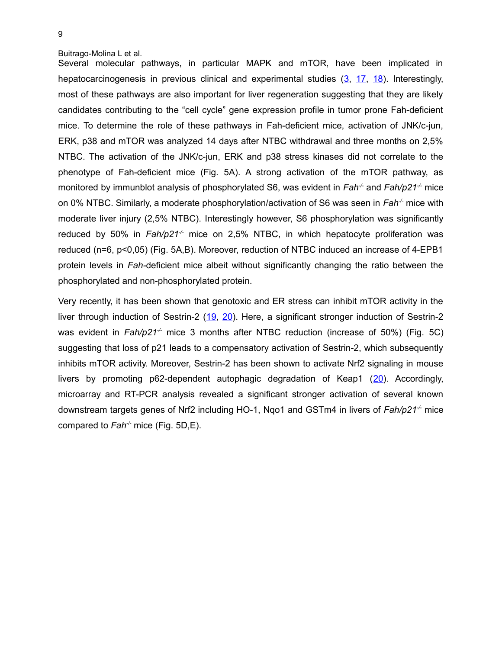Several molecular pathways, in particular MAPK and mTOR, have been implicated in hepatocarcinogenesis in previous clinical and experimental studies  $(3, 17, 18)$  $(3, 17, 18)$  $(3, 17, 18)$ . Interestingly, most of these pathways are also important for liver regeneration suggesting that they are likely candidates contributing to the "cell cycle" gene expression profile in tumor prone Fah-deficient mice. To determine the role of these pathways in Fah-deficient mice, activation of JNK/c-jun, ERK, p38 and mTOR was analyzed 14 days after NTBC withdrawal and three months on 2,5% NTBC. The activation of the JNK/c-jun, ERK and p38 stress kinases did not correlate to the phenotype of Fah-deficient mice (Fig. 5A). A strong activation of the mTOR pathway, as monitored by immunblot analysis of phosphorylated S6, was evident in *Fah<sup>-/-</sup>* and *Fah/p21<sup>-/-</sup>* mice on 0% NTBC. Similarly, a moderate phosphorylation/activation of S6 was seen in *Fah-/-* mice with moderate liver injury (2,5% NTBC). Interestingly however, S6 phosphorylation was significantly reduced by 50% in *Fah/p21<sup>-/-</sup>* mice on 2,5% NTBC, in which hepatocyte proliferation was reduced (n=6, p<0,05) (Fig. 5A,B). Moreover, reduction of NTBC induced an increase of 4-EPB1 protein levels in *Fah-*deficient mice albeit without significantly changing the ratio between the phosphorylated and non-phosphorylated protein.

Very recently, it has been shown that genotoxic and ER stress can inhibit mTOR activity in the liver through induction of Sestrin-2 [\(19,](#page-14-5) [20\)](#page-14-4). Here, a significant stronger induction of Sestrin-2 was evident in *Fah/p21<sup>-/-</sup>* mice 3 months after NTBC reduction (increase of 50%) (Fig. 5C) suggesting that loss of p21 leads to a compensatory activation of Sestrin-2, which subsequently inhibits mTOR activity. Moreover, Sestrin-2 has been shown to activate Nrf2 signaling in mouse livers by promoting p62-dependent autophagic degradation of Keap1 ([20\)](#page-14-4). Accordingly, microarray and RT-PCR analysis revealed a significant stronger activation of several known downstream targets genes of Nrf2 including HO-1, Nqo1 and GSTm4 in livers of *Fah/p21-/-* mice compared to *Fah-/-* mice (Fig. 5D,E).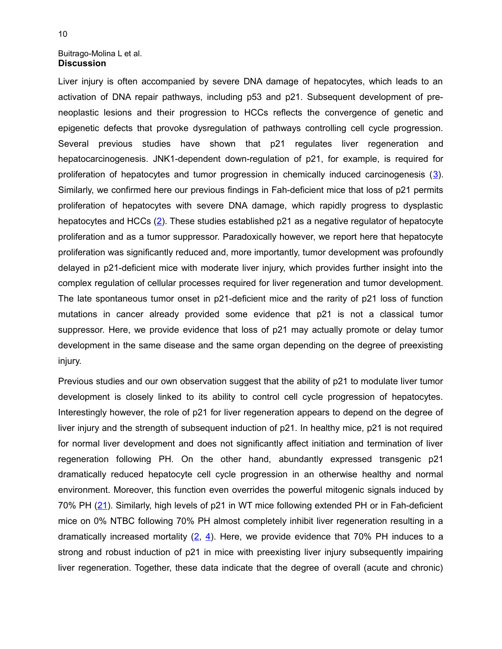#### Buitrago-Molina L et al. **Discussion**

Liver injury is often accompanied by severe DNA damage of hepatocytes, which leads to an activation of DNA repair pathways, including p53 and p21. Subsequent development of preneoplastic lesions and their progression to HCCs reflects the convergence of genetic and epigenetic defects that provoke dysregulation of pathways controlling cell cycle progression. Several previous studies have shown that p21 regulates liver regeneration and hepatocarcinogenesis. JNK1-dependent down-regulation of p21, for example, is required for proliferation of hepatocytes and tumor progression in chemically induced carcinogenesis ([3\)](#page-13-7). Similarly, we confirmed here our previous findings in Fah-deficient mice that loss of p21 permits proliferation of hepatocytes with severe DNA damage, which rapidly progress to dysplastic hepatocytes and HCCs [\(2\)](#page-13-4). These studies established p21 as a negative regulator of hepatocyte proliferation and as a tumor suppressor. Paradoxically however, we report here that hepatocyte proliferation was significantly reduced and, more importantly, tumor development was profoundly delayed in p21-deficient mice with moderate liver injury, which provides further insight into the complex regulation of cellular processes required for liver regeneration and tumor development. The late spontaneous tumor onset in p21-deficient mice and the rarity of p21 loss of function mutations in cancer already provided some evidence that p21 is not a classical tumor suppressor. Here, we provide evidence that loss of p21 may actually promote or delay tumor development in the same disease and the same organ depending on the degree of preexisting injury.

Previous studies and our own observation suggest that the ability of p21 to modulate liver tumor development is closely linked to its ability to control cell cycle progression of hepatocytes. Interestingly however, the role of p21 for liver regeneration appears to depend on the degree of liver injury and the strength of subsequent induction of p21. In healthy mice, p21 is not required for normal liver development and does not significantly affect initiation and termination of liver regeneration following PH. On the other hand, abundantly expressed transgenic p21 dramatically reduced hepatocyte cell cycle progression in an otherwise healthy and normal environment. Moreover, this function even overrides the powerful mitogenic signals induced by 70% PH [\(21\)](#page-14-8). Similarly, high levels of p21 in WT mice following extended PH or in Fah-deficient mice on 0% NTBC following 70% PH almost completely inhibit liver regeneration resulting in a dramatically increased mortality  $(2, 4)$  $(2, 4)$ . Here, we provide evidence that 70% PH induces to a strong and robust induction of p21 in mice with preexisting liver injury subsequently impairing liver regeneration. Together, these data indicate that the degree of overall (acute and chronic)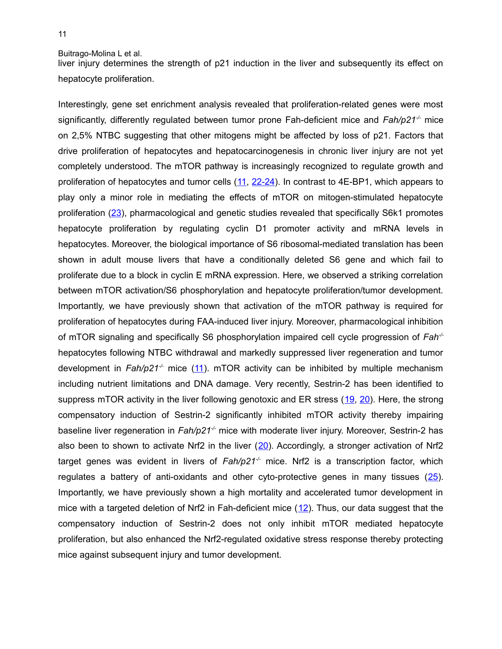liver injury determines the strength of p21 induction in the liver and subsequently its effect on hepatocyte proliferation.

Interestingly, gene set enrichment analysis revealed that proliferation-related genes were most significantly, differently regulated between tumor prone Fah-deficient mice and *Fah/p21-/-* mice on 2,5% NTBC suggesting that other mitogens might be affected by loss of p21. Factors that drive proliferation of hepatocytes and hepatocarcinogenesis in chronic liver injury are not yet completely understood. The mTOR pathway is increasingly recognized to regulate growth and proliferation of hepatocytes and tumor cells [\(11,](#page-13-9) [22-24\)](#page-14-11). In contrast to 4E-BP1, which appears to play only a minor role in mediating the effects of mTOR on mitogen-stimulated hepatocyte proliferation [\(23\)](#page-14-10), pharmacological and genetic studies revealed that specifically S6k1 promotes hepatocyte proliferation by regulating cyclin D1 promoter activity and mRNA levels in hepatocytes. Moreover, the biological importance of S6 ribosomal-mediated translation has been shown in adult mouse livers that have a conditionally deleted S6 gene and which fail to proliferate due to a block in cyclin E mRNA expression. Here, we observed a striking correlation between mTOR activation/S6 phosphorylation and hepatocyte proliferation/tumor development. Importantly, we have previously shown that activation of the mTOR pathway is required for proliferation of hepatocytes during FAA-induced liver injury. Moreover, pharmacological inhibition of mTOR signaling and specifically S6 phosphorylation impaired cell cycle progression of *Fah-/* hepatocytes following NTBC withdrawal and markedly suppressed liver regeneration and tumor development in *Fah/p21-/-* mice [\(11\)](#page-13-9). mTOR activity can be inhibited by multiple mechanism including nutrient limitations and DNA damage. Very recently, Sestrin-2 has been identified to suppress mTOR activity in the liver following genotoxic and ER stress ([19,](#page-14-5) [20\)](#page-14-4). Here, the strong compensatory induction of Sestrin-2 significantly inhibited mTOR activity thereby impairing baseline liver regeneration in *Fah/p21<sup>-/-</sup>* mice with moderate liver injury. Moreover, Sestrin-2 has also been to shown to activate Nrf2 in the liver  $(20)$ . Accordingly, a stronger activation of Nrf2 target genes was evident in livers of *Fah/p21<sup>-/-</sup>* mice. Nrf2 is a transcription factor, which regulates a battery of anti-oxidants and other cyto-protective genes in many tissues  $(25)$ . Importantly, we have previously shown a high mortality and accelerated tumor development in mice with a targeted deletion of Nrf2 in Fah-deficient mice  $(12)$ . Thus, our data suggest that the compensatory induction of Sestrin-2 does not only inhibit mTOR mediated hepatocyte proliferation, but also enhanced the Nrf2-regulated oxidative stress response thereby protecting mice against subsequent injury and tumor development.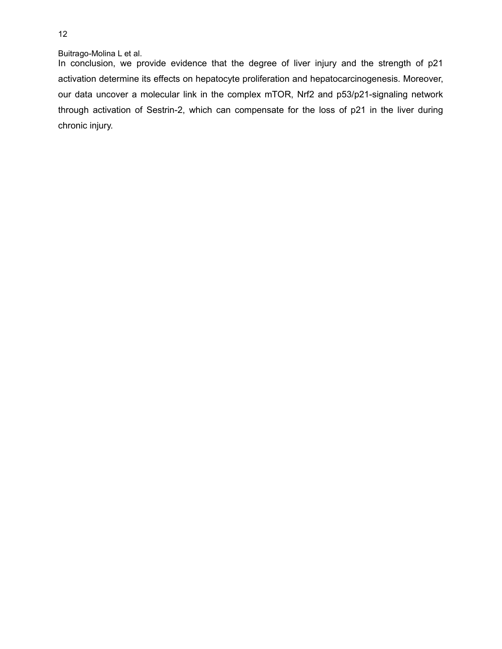In conclusion, we provide evidence that the degree of liver injury and the strength of p21 activation determine its effects on hepatocyte proliferation and hepatocarcinogenesis. Moreover, our data uncover a molecular link in the complex mTOR, Nrf2 and p53/p21-signaling network through activation of Sestrin-2, which can compensate for the loss of p21 in the liver during chronic injury.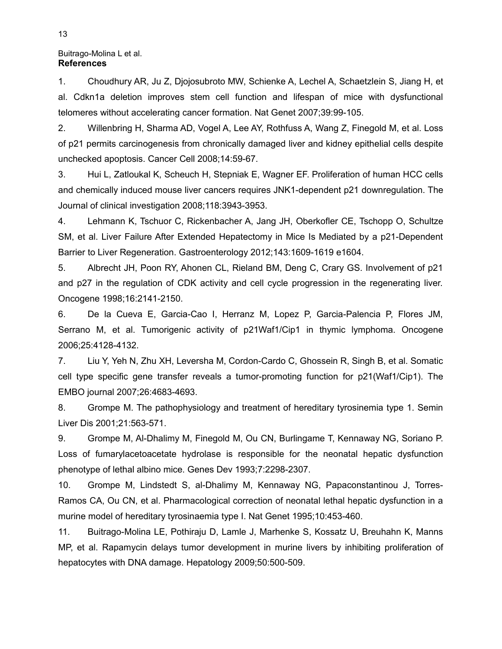### Buitrago-Molina L et al. **References**

<span id="page-13-5"></span>1. Choudhury AR, Ju Z, Djojosubroto MW, Schienke A, Lechel A, Schaetzlein S, Jiang H, et al. Cdkn1a deletion improves stem cell function and lifespan of mice with dysfunctional telomeres without accelerating cancer formation. Nat Genet 2007;39:99-105.

<span id="page-13-4"></span>2. Willenbring H, Sharma AD, Vogel A, Lee AY, Rothfuss A, Wang Z, Finegold M, et al. Loss of p21 permits carcinogenesis from chronically damaged liver and kidney epithelial cells despite unchecked apoptosis. Cancer Cell 2008;14:59-67.

<span id="page-13-7"></span>3. Hui L, Zatloukal K, Scheuch H, Stepniak E, Wagner EF. Proliferation of human HCC cells and chemically induced mouse liver cancers requires JNK1-dependent p21 downregulation. The Journal of clinical investigation 2008;118:3943-3953.

<span id="page-13-8"></span>4. Lehmann K, Tschuor C, Rickenbacher A, Jang JH, Oberkofler CE, Tschopp O, Schultze SM, et al. Liver Failure After Extended Hepatectomy in Mice Is Mediated by a p21-Dependent Barrier to Liver Regeneration. Gastroenterology 2012;143:1609-1619 e1604.

5. Albrecht JH, Poon RY, Ahonen CL, Rieland BM, Deng C, Crary GS. Involvement of p21 and p27 in the regulation of CDK activity and cell cycle progression in the regenerating liver. Oncogene 1998;16:2141-2150.

<span id="page-13-3"></span>6. De la Cueva E, Garcia-Cao I, Herranz M, Lopez P, Garcia-Palencia P, Flores JM, Serrano M, et al. Tumorigenic activity of p21Waf1/Cip1 in thymic lymphoma. Oncogene 2006;25:4128-4132.

<span id="page-13-2"></span>7. Liu Y, Yeh N, Zhu XH, Leversha M, Cordon-Cardo C, Ghossein R, Singh B, et al. Somatic cell type specific gene transfer reveals a tumor-promoting function for p21(Waf1/Cip1). The EMBO journal 2007;26:4683-4693.

<span id="page-13-1"></span>8. Grompe M. The pathophysiology and treatment of hereditary tyrosinemia type 1. Semin Liver Dis 2001;21:563-571.

<span id="page-13-0"></span>9. Grompe M, Al-Dhalimy M, Finegold M, Ou CN, Burlingame T, Kennaway NG, Soriano P. Loss of fumarylacetoacetate hydrolase is responsible for the neonatal hepatic dysfunction phenotype of lethal albino mice. Genes Dev 1993;7:2298-2307.

<span id="page-13-6"></span>10. Grompe M, Lindstedt S, al-Dhalimy M, Kennaway NG, Papaconstantinou J, Torres-Ramos CA, Ou CN, et al. Pharmacological correction of neonatal lethal hepatic dysfunction in a murine model of hereditary tyrosinaemia type I. Nat Genet 1995;10:453-460.

<span id="page-13-9"></span>11. Buitrago-Molina LE, Pothiraju D, Lamle J, Marhenke S, Kossatz U, Breuhahn K, Manns MP, et al. Rapamycin delays tumor development in murine livers by inhibiting proliferation of hepatocytes with DNA damage. Hepatology 2009;50:500-509.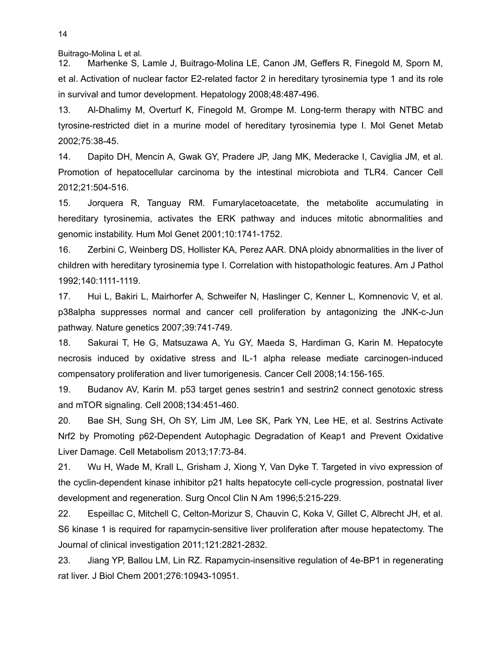<span id="page-14-9"></span>12. Marhenke S, Lamle J, Buitrago-Molina LE, Canon JM, Geffers R, Finegold M, Sporn M, et al. Activation of nuclear factor E2-related factor 2 in hereditary tyrosinemia type 1 and its role in survival and tumor development. Hepatology 2008;48:487-496.

<span id="page-14-0"></span>13. Al-Dhalimy M, Overturf K, Finegold M, Grompe M. Long-term therapy with NTBC and tyrosine-restricted diet in a murine model of hereditary tyrosinemia type I. Mol Genet Metab 2002;75:38-45.

<span id="page-14-3"></span>14. Dapito DH, Mencin A, Gwak GY, Pradere JP, Jang MK, Mederacke I, Caviglia JM, et al. Promotion of hepatocellular carcinoma by the intestinal microbiota and TLR4. Cancer Cell 2012;21:504-516.

<span id="page-14-2"></span>15. Jorquera R, Tanguay RM. Fumarylacetoacetate, the metabolite accumulating in hereditary tyrosinemia, activates the ERK pathway and induces mitotic abnormalities and genomic instability. Hum Mol Genet 2001;10:1741-1752.

<span id="page-14-1"></span>16. Zerbini C, Weinberg DS, Hollister KA, Perez AAR. DNA ploidy abnormalities in the liver of children with hereditary tyrosinemia type I. Correlation with histopathologic features. Am J Pathol 1992;140:1111-1119.

<span id="page-14-7"></span>17. Hui L, Bakiri L, Mairhorfer A, Schweifer N, Haslinger C, Kenner L, Komnenovic V, et al. p38alpha suppresses normal and cancer cell proliferation by antagonizing the JNK-c-Jun pathway. Nature genetics 2007;39:741-749.

<span id="page-14-6"></span>18. Sakurai T, He G, Matsuzawa A, Yu GY, Maeda S, Hardiman G, Karin M. Hepatocyte necrosis induced by oxidative stress and IL-1 alpha release mediate carcinogen-induced compensatory proliferation and liver tumorigenesis. Cancer Cell 2008;14:156-165.

<span id="page-14-5"></span>19. Budanov AV, Karin M. p53 target genes sestrin1 and sestrin2 connect genotoxic stress and mTOR signaling. Cell 2008;134:451-460.

<span id="page-14-4"></span>20. Bae SH, Sung SH, Oh SY, Lim JM, Lee SK, Park YN, Lee HE, et al. Sestrins Activate Nrf2 by Promoting p62-Dependent Autophagic Degradation of Keap1 and Prevent Oxidative Liver Damage. Cell Metabolism 2013;17:73-84.

<span id="page-14-8"></span>21. Wu H, Wade M, Krall L, Grisham J, Xiong Y, Van Dyke T. Targeted in vivo expression of the cyclin-dependent kinase inhibitor p21 halts hepatocyte cell-cycle progression, postnatal liver development and regeneration. Surg Oncol Clin N Am 1996;5:215-229.

<span id="page-14-11"></span>22. Espeillac C, Mitchell C, Celton-Morizur S, Chauvin C, Koka V, Gillet C, Albrecht JH, et al. S6 kinase 1 is required for rapamycin-sensitive liver proliferation after mouse hepatectomy. The Journal of clinical investigation 2011;121:2821-2832.

<span id="page-14-10"></span>23. Jiang YP, Ballou LM, Lin RZ. Rapamycin-insensitive regulation of 4e-BP1 in regenerating rat liver. J Biol Chem 2001;276:10943-10951.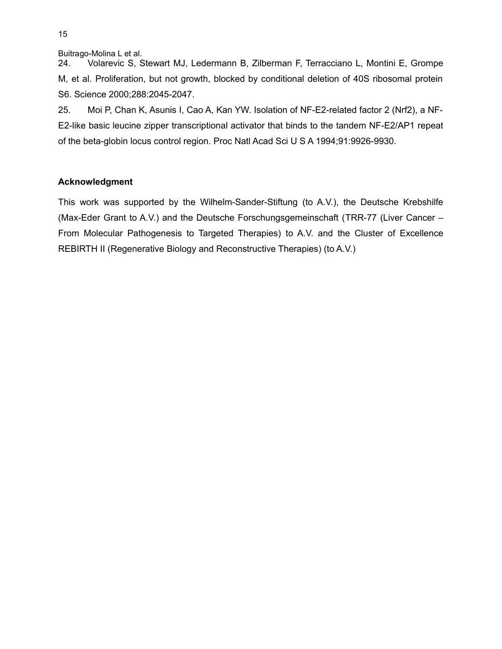24. Volarevic S, Stewart MJ, Ledermann B, Zilberman F, Terracciano L, Montini E, Grompe M, et al. Proliferation, but not growth, blocked by conditional deletion of 40S ribosomal protein S6. Science 2000;288:2045-2047.

<span id="page-15-0"></span>25. Moi P, Chan K, Asunis I, Cao A, Kan YW. Isolation of NF-E2-related factor 2 (Nrf2), a NF-E2-like basic leucine zipper transcriptional activator that binds to the tandem NF-E2/AP1 repeat of the beta-globin locus control region. Proc Natl Acad Sci U S A 1994;91:9926-9930.

# **Acknowledgment**

This work was supported by the Wilhelm-Sander-Stiftung (to A.V.), the Deutsche Krebshilfe (Max-Eder Grant to A.V.) and the Deutsche Forschungsgemeinschaft (TRR-77 (Liver Cancer – From Molecular Pathogenesis to Targeted Therapies) to A.V. and the Cluster of Excellence REBIRTH II (Regenerative Biology and Reconstructive Therapies) (to A.V.)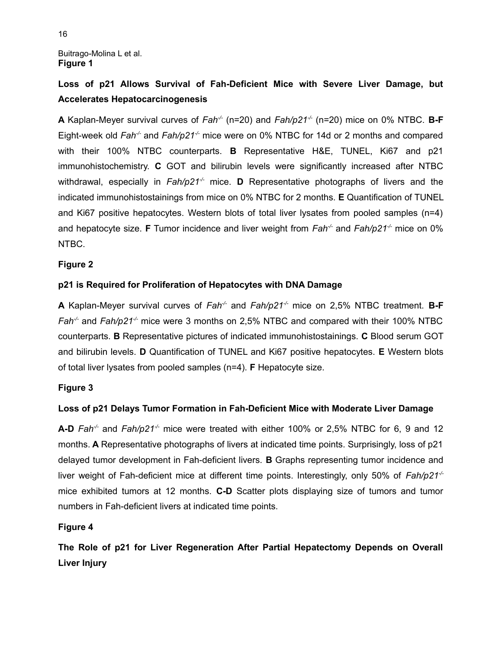Buitrago-Molina L et al. **Figure 1**

# **Loss of p21 Allows Survival of Fah-Deficient Mice with Severe Liver Damage, but Accelerates Hepatocarcinogenesis**

**A** Kaplan-Meyer survival curves of *Fah<sup>-/-</sup>* (n=20) and *Fah/p21<sup>-/-</sup>* (n=20) mice on 0% NTBC. **B-F** Eight-week old *Fah<sup>-/-</sup>* and *Fah/p21<sup>-/-</sup>* mice were on 0% NTBC for 14d or 2 months and compared with their 100% NTBC counterparts. **B** Representative H&E, TUNEL, Ki67 and p21 immunohistochemistry. **C** GOT and bilirubin levels were significantly increased after NTBC withdrawal, especially in  $Fah/p21<sup>-/-</sup>$  mice. **D** Representative photographs of livers and the indicated immunohistostainings from mice on 0% NTBC for 2 months. **E** Quantification of TUNEL and Ki67 positive hepatocytes. Western blots of total liver lysates from pooled samples (n=4) and hepatocyte size. **F** Tumor incidence and liver weight from *Fah<sup>-/-</sup>* and *Fah/p21<sup>-/-</sup>* mice on 0% NTBC.

# **Figure 2**

# **p21 is Required for Proliferation of Hepatocytes with DNA Damage**

**A** Kaplan-Meyer survival curves of *Fah-/-* and *Fah/p21-/-* mice on 2,5% NTBC treatment. **B-F** *Fah-/-* and *Fah/p21-/-* mice were 3 months on 2,5% NTBC and compared with their 100% NTBC counterparts. **B** Representative pictures of indicated immunohistostainings. **C** Blood serum GOT and bilirubin levels. **D** Quantification of TUNEL and Ki67 positive hepatocytes. **E** Western blots of total liver lysates from pooled samples (n=4). **F** Hepatocyte size.

# **Figure 3**

# **Loss of p21 Delays Tumor Formation in Fah-Deficient Mice with Moderate Liver Damage**

**A-D** *Fah-/-* and *Fah/p21-/-* mice were treated with either 100% or 2,5% NTBC for 6, 9 and 12 months. **A** Representative photographs of livers at indicated time points. Surprisingly, loss of p21 delayed tumor development in Fah-deficient livers. **B** Graphs representing tumor incidence and liver weight of Fah-deficient mice at different time points. Interestingly, only 50% of *Fah/p21-/* mice exhibited tumors at 12 months. **C-D** Scatter plots displaying size of tumors and tumor numbers in Fah-deficient livers at indicated time points.

# **Figure 4**

**The Role of p21 for Liver Regeneration After Partial Hepatectomy Depends on Overall Liver Injury**